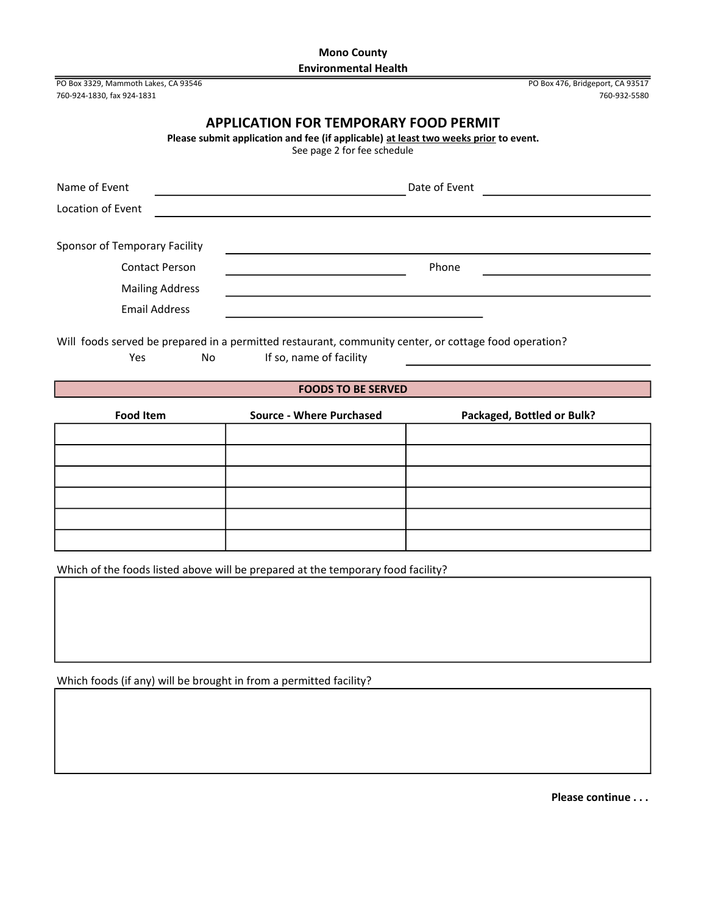# Mono County Environmental Health

PO Box 3329, Mammoth Lakes, CA 93546 PO Box 476, Bridgeport, CA 93517 760-924-1830, fax 924-1831 760-932-5580

# APPLICATION FOR TEMPORARY FOOD PERMIT

Please submit application and fee (if applicable) at least two weeks prior to event.

See page 2 for fee schedule

| Name of Event                 |                        | Date of Event |  |
|-------------------------------|------------------------|---------------|--|
| Location of Event             |                        |               |  |
|                               |                        |               |  |
| Sponsor of Temporary Facility |                        |               |  |
|                               | <b>Contact Person</b>  | Phone         |  |
|                               | <b>Mailing Address</b> |               |  |
| <b>Email Address</b>          |                        |               |  |

Will foods served be prepared in a permitted restaurant, community center, or cottage food operation? Yes No If so, name of facility

## FOODS TO BE SERVED

| <b>Food Item</b> | <b>Source - Where Purchased</b> | Packaged, Bottled or Bulk? |
|------------------|---------------------------------|----------------------------|
|                  |                                 |                            |
|                  |                                 |                            |
|                  |                                 |                            |
|                  |                                 |                            |
|                  |                                 |                            |
|                  |                                 |                            |

Which of the foods listed above will be prepared at the temporary food facility?

Which foods (if any) will be brought in from a permitted facility?

Please continue . . .